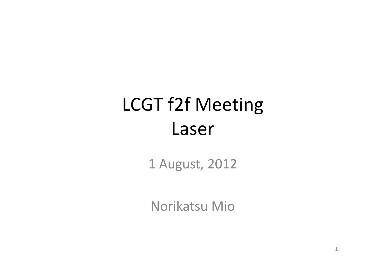# LCGT f2f Meeting Laser

1 August, 2012

Norikatsu Mio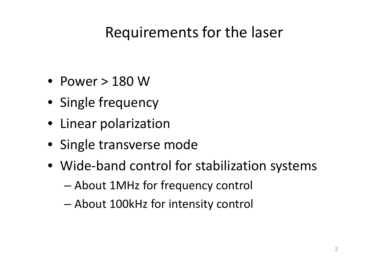#### Requirements for the laser

- Power > 180 W
- Single frequency
- Linear polarization
- Single transverse mode
- Wide-band control for stabilization systems
	- About 1MHz for frequency control
	- About 100kHz for intensity control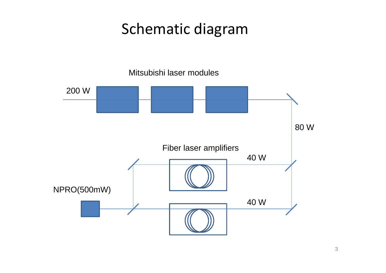#### Schematic diagram

Mitsubishi laser modules

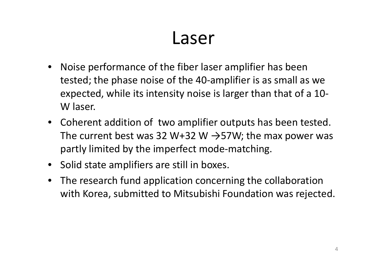### Laser

- Noise performance of the fiber laser amplifier has been tested; the phase noise of the 40-amplifier is as small as we expected, while its intensity noise is larger than that of a 10- W laser.
- Coherent addition of two amplifier outputs has been tested. The current best was 32 W+32 W  $\rightarrow$  57W; the max power was partly limited by the imperfect mode-matching.
- Solid state amplifiers are still in boxes.
- The research fund application concerning the collaboration with Korea, submitted to Mitsubishi Foundation was rejected.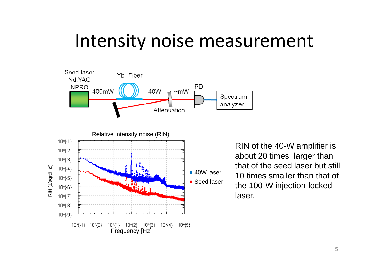#### Intensity noise measurement



RIN of the 40-W amplifier is about 20 times larger than that of the seed laser but still 10 times smaller than that of the 100-W injection-locked laser.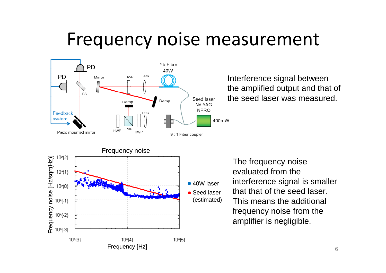### Frequency noise measurement



Interference signal between the amplified output and that of the seed laser was measured.

The frequency noise evaluated from the interference signal is smaller that that of the seed laser. This means the additional frequency noise from the amplifier is negligible.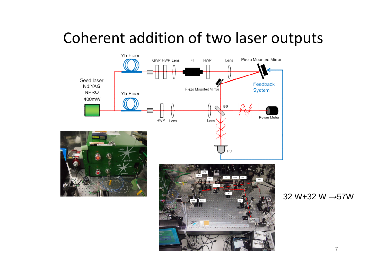#### Coherent addition of two laser outputs



32 W+32 W →57W